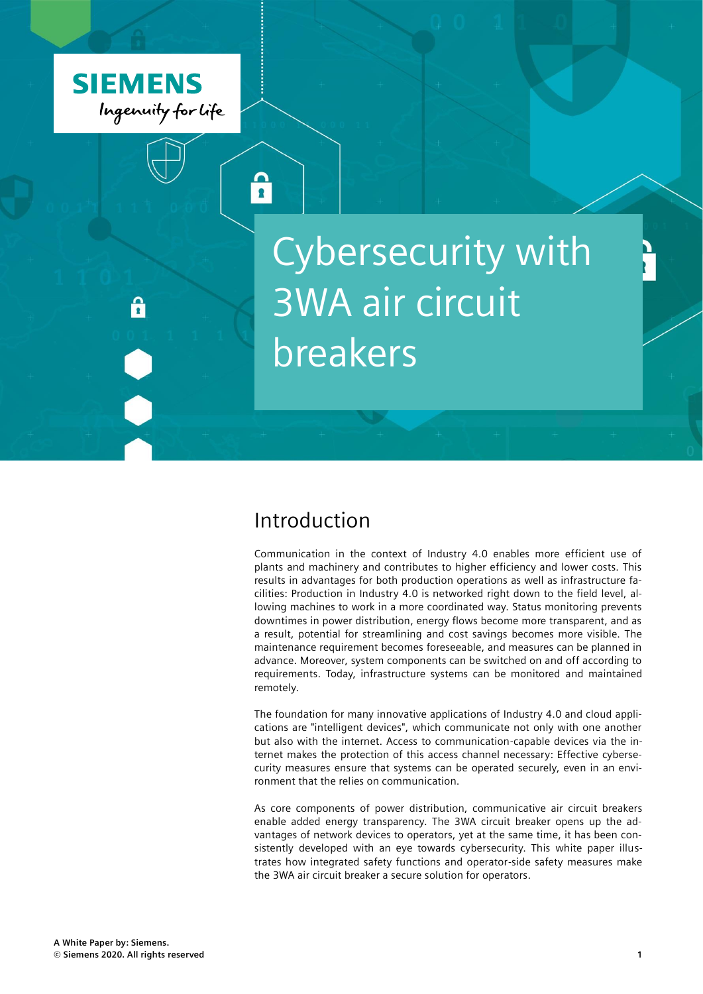

# Cybersecurity with 3WA air circuit breakers

### Introduction

 $\mathbf{R}$ 

Communication in the context of Industry 4.0 enables more efficient use of plants and machinery and contributes to higher efficiency and lower costs. This results in advantages for both production operations as well as infrastructure facilities: Production in Industry 4.0 is networked right down to the field level, allowing machines to work in a more coordinated way. Status monitoring prevents downtimes in power distribution, energy flows become more transparent, and as a result, potential for streamlining and cost savings becomes more visible. The maintenance requirement becomes foreseeable, and measures can be planned in advance. Moreover, system components can be switched on and off according to requirements. Today, infrastructure systems can be monitored and maintained remotely.

The foundation for many innovative applications of Industry 4.0 and cloud applications are "intelligent devices", which communicate not only with one another but also with the internet. Access to communication-capable devices via the internet makes the protection of this access channel necessary: Effective cybersecurity measures ensure that systems can be operated securely, even in an environment that the relies on communication.

As core components of power distribution, communicative air circuit breakers enable added energy transparency. The 3WA circuit breaker opens up the advantages of network devices to operators, yet at the same time, it has been consistently developed with an eye towards cybersecurity. This white paper illustrates how integrated safety functions and operator-side safety measures make the 3WA air circuit breaker a secure solution for operators.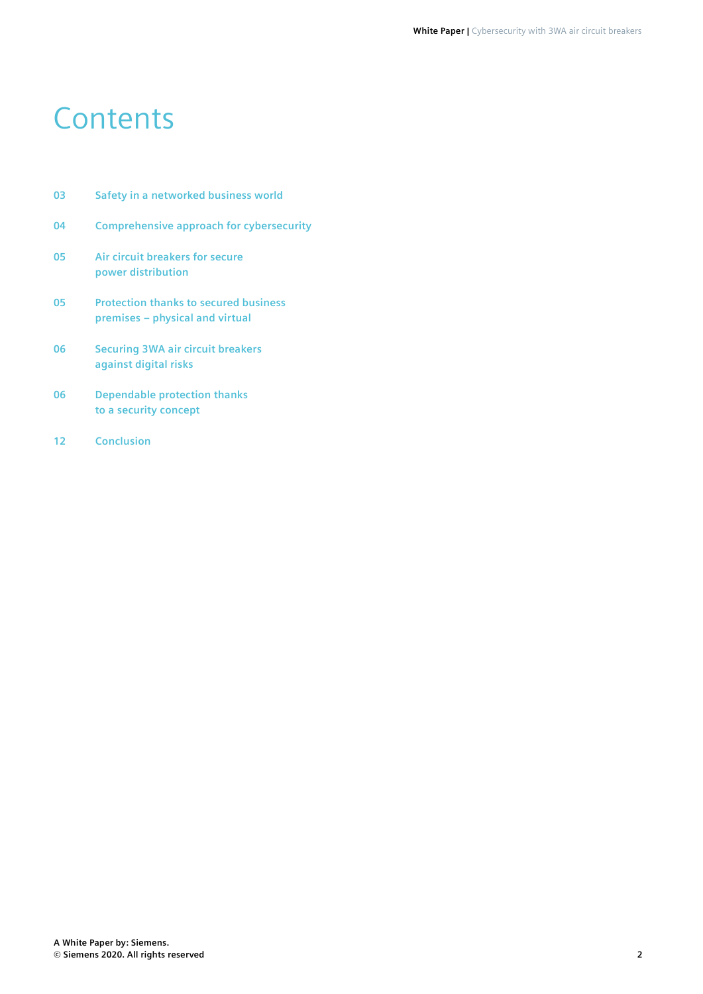### **Contents**

- **03 Safety in a networked business world**
- **04 Comprehensive approach for cybersecurity**
- **05 Air circuit breakers for secure power distribution**
- **05 Protection thanks to secured business premises – physical and virtual**
- **06 Securing 3WA air circuit breakers against digital risks**
- **06 Dependable protection thanks to a security concept**
- **12 Conclusion**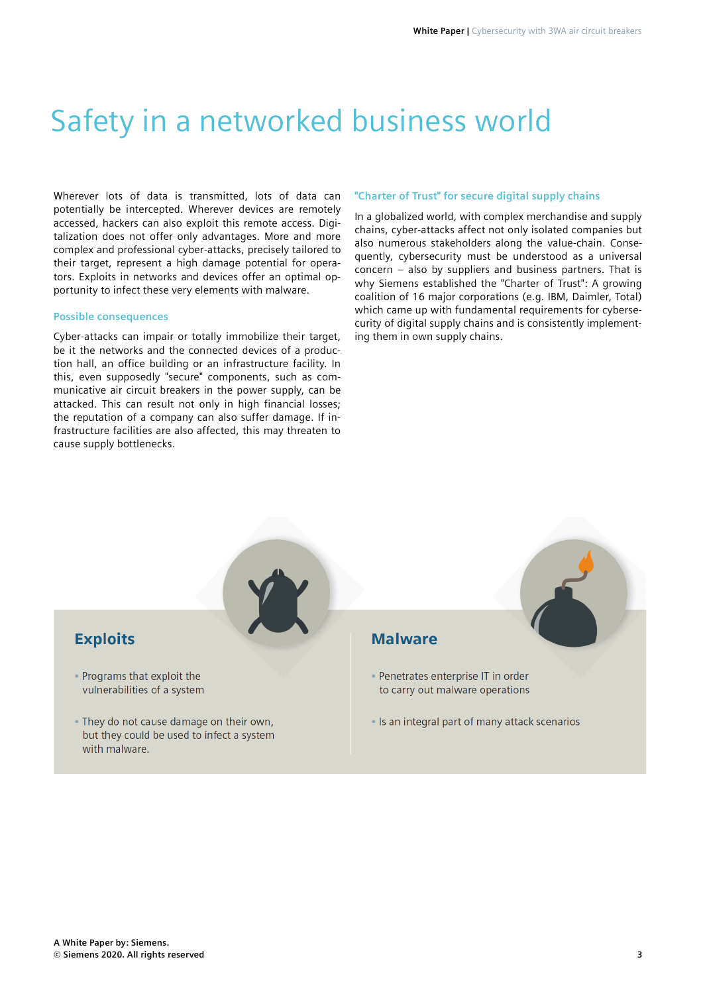## Safety in a networked business world

Wherever lots of data is transmitted, lots of data can potentially be intercepted. Wherever devices are remotely accessed, hackers can also exploit this remote access. Digitalization does not offer only advantages. More and more complex and professional cyber-attacks, precisely tailored to their target, represent a high damage potential for operators. Exploits in networks and devices offer an optimal opportunity to infect these very elements with malware.

#### **Possible consequences**

Cyber-attacks can impair or totally immobilize their target, be it the networks and the connected devices of a production hall, an office building or an infrastructure facility. In this, even supposedly "secure" components, such as communicative air circuit breakers in the power supply, can be attacked. This can result not only in high financial losses; the reputation of a company can also suffer damage. If infrastructure facilities are also affected, this may threaten to cause supply bottlenecks.

#### **"Charter of Trust" for secure digital supply chains**

In a globalized world, with complex merchandise and supply chains, cyber-attacks affect not only isolated companies but also numerous stakeholders along the value-chain. Consequently, cybersecurity must be understood as a universal concern – also by suppliers and business partners. That is why Siemens established the "Charter of Trust": A growing coalition of 16 major corporations (e.g. IBM, Daimler, Total) which came up with fundamental requirements for cybersecurity of digital supply chains and is consistently implementing them in own supply chains.

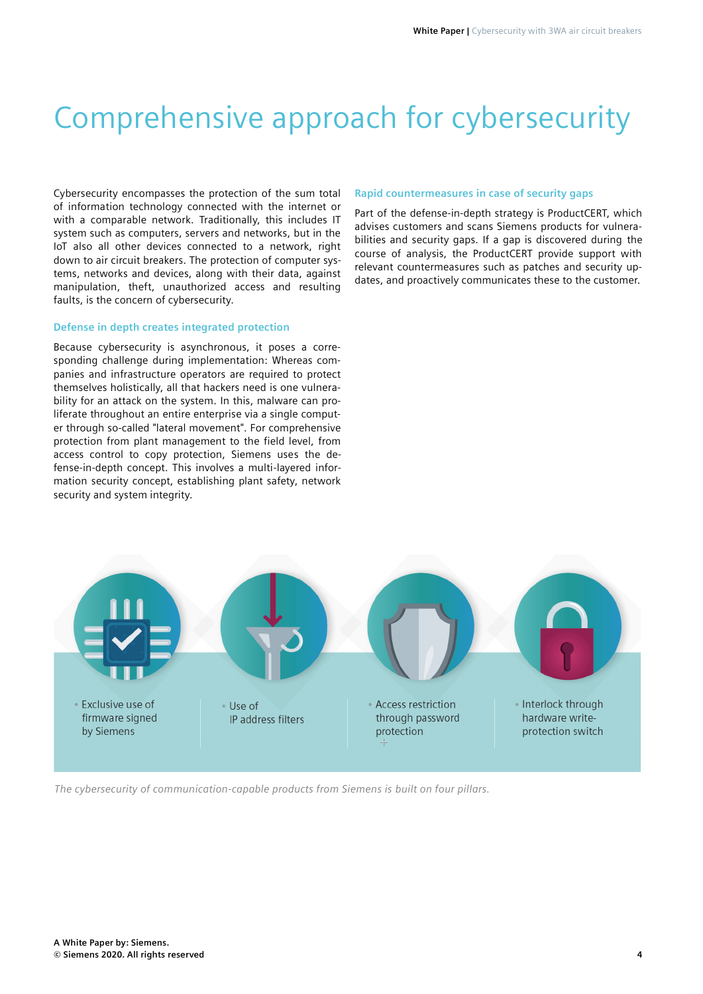## Comprehensive approach for cybersecurity

Cybersecurity encompasses the protection of the sum total of information technology connected with the internet or with a comparable network. Traditionally, this includes IT system such as computers, servers and networks, but in the IoT also all other devices connected to a network, right down to air circuit breakers. The protection of computer systems, networks and devices, along with their data, against manipulation, theft, unauthorized access and resulting faults, is the concern of cybersecurity.

#### **Defense in depth creates integrated protection**

Because cybersecurity is asynchronous, it poses a corresponding challenge during implementation: Whereas companies and infrastructure operators are required to protect themselves holistically, all that hackers need is one vulnerability for an attack on the system. In this, malware can proliferate throughout an entire enterprise via a single computer through so-called "lateral movement". For comprehensive protection from plant management to the field level, from access control to copy protection, Siemens uses the defense-in-depth concept. This involves a multi-layered information security concept, establishing plant safety, network security and system integrity.

#### **Rapid countermeasures in case of security gaps**

Part of the defense-in-depth strategy is ProductCERT, which advises customers and scans Siemens products for vulnerabilities and security gaps. If a gap is discovered during the course of analysis, the ProductCERT provide support with relevant countermeasures such as patches and security updates, and proactively communicates these to the customer.



*The cybersecurity of communication-capable products from Siemens is built on four pillars.*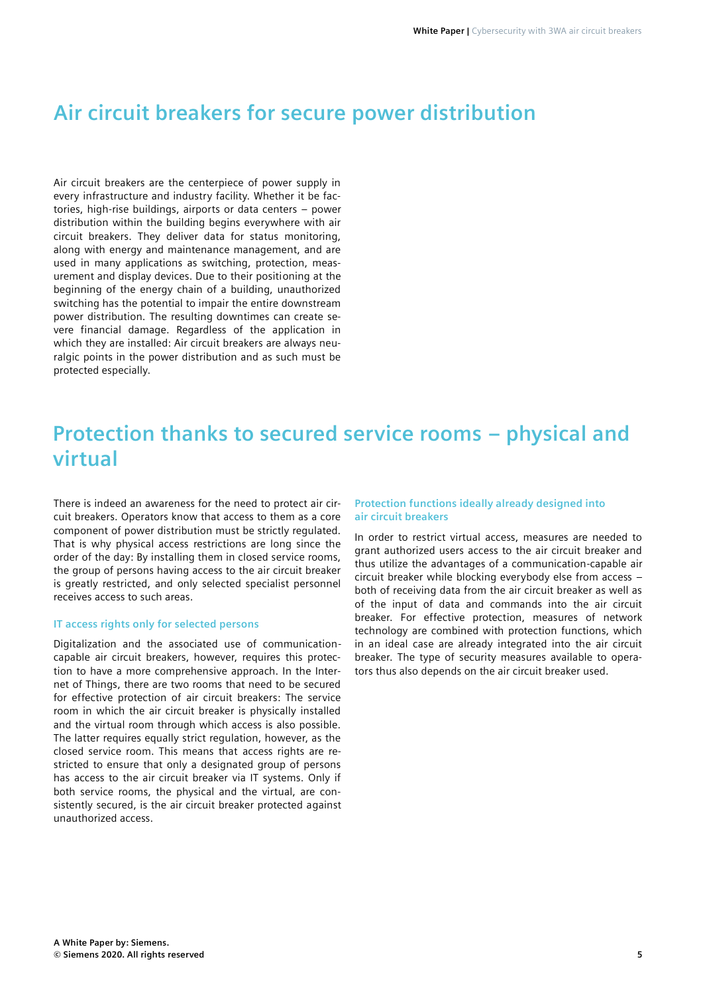### **Air circuit breakers for secure power distribution**

Air circuit breakers are the centerpiece of power supply in every infrastructure and industry facility. Whether it be factories, high-rise buildings, airports or data centers – power distribution within the building begins everywhere with air circuit breakers. They deliver data for status monitoring, along with energy and maintenance management, and are used in many applications as switching, protection, measurement and display devices. Due to their positioning at the beginning of the energy chain of a building, unauthorized switching has the potential to impair the entire downstream power distribution. The resulting downtimes can create severe financial damage. Regardless of the application in which they are installed: Air circuit breakers are always neuralgic points in the power distribution and as such must be protected especially.

### **Protection thanks to secured service rooms – physical and virtual**

There is indeed an awareness for the need to protect air circuit breakers. Operators know that access to them as a core component of power distribution must be strictly regulated. That is why physical access restrictions are long since the order of the day: By installing them in closed service rooms, the group of persons having access to the air circuit breaker is greatly restricted, and only selected specialist personnel receives access to such areas.

#### **IT access rights only for selected persons**

Digitalization and the associated use of communicationcapable air circuit breakers, however, requires this protection to have a more comprehensive approach. In the Internet of Things, there are two rooms that need to be secured for effective protection of air circuit breakers: The service room in which the air circuit breaker is physically installed and the virtual room through which access is also possible. The latter requires equally strict regulation, however, as the closed service room. This means that access rights are restricted to ensure that only a designated group of persons has access to the air circuit breaker via IT systems. Only if both service rooms, the physical and the virtual, are consistently secured, is the air circuit breaker protected against unauthorized access.

#### **Protection functions ideally already designed into air circuit breakers**

In order to restrict virtual access, measures are needed to grant authorized users access to the air circuit breaker and thus utilize the advantages of a communication-capable air circuit breaker while blocking everybody else from access – both of receiving data from the air circuit breaker as well as of the input of data and commands into the air circuit breaker. For effective protection, measures of network technology are combined with protection functions, which in an ideal case are already integrated into the air circuit breaker. The type of security measures available to operators thus also depends on the air circuit breaker used.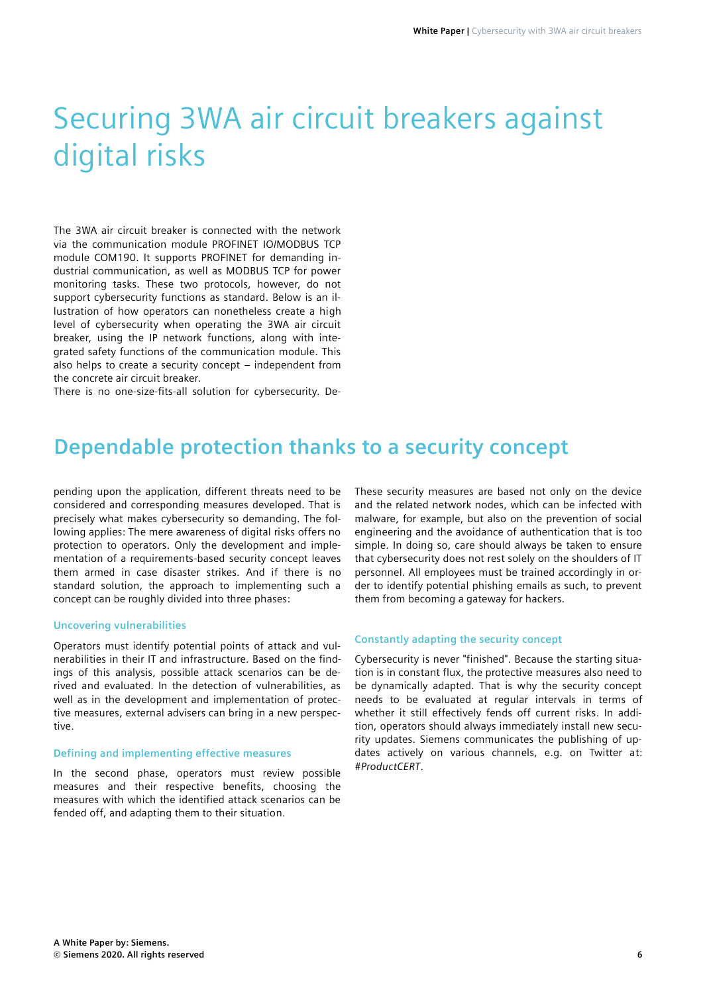## Securing 3WA air circuit breakers against digital risks

The 3WA air circuit breaker is connected with the network via the communication module PROFINET IO/MODBUS TCP module COM190. It supports PROFINET for demanding industrial communication, as well as MODBUS TCP for power monitoring tasks. These two protocols, however, do not support cybersecurity functions as standard. Below is an illustration of how operators can nonetheless create a high level of cybersecurity when operating the 3WA air circuit breaker, using the IP network functions, along with integrated safety functions of the communication module. This also helps to create a security concept – independent from the concrete air circuit breaker.

There is no one-size-fits-all solution for cybersecurity. De-

### **Dependable protection thanks to a security concept**

pending upon the application, different threats need to be considered and corresponding measures developed. That is precisely what makes cybersecurity so demanding. The following applies: The mere awareness of digital risks offers no protection to operators. Only the development and implementation of a requirements-based security concept leaves them armed in case disaster strikes. And if there is no standard solution, the approach to implementing such a concept can be roughly divided into three phases:

#### **Uncovering vulnerabilities**

Operators must identify potential points of attack and vulnerabilities in their IT and infrastructure. Based on the findings of this analysis, possible attack scenarios can be derived and evaluated. In the detection of vulnerabilities, as well as in the development and implementation of protective measures, external advisers can bring in a new perspective.

#### **Defining and implementing effective measures**

In the second phase, operators must review possible measures and their respective benefits, choosing the measures with which the identified attack scenarios can be fended off, and adapting them to their situation.

These security measures are based not only on the device and the related network nodes, which can be infected with malware, for example, but also on the prevention of social engineering and the avoidance of authentication that is too simple. In doing so, care should always be taken to ensure that cybersecurity does not rest solely on the shoulders of IT personnel. All employees must be trained accordingly in order to identify potential phishing emails as such, to prevent them from becoming a gateway for hackers.

#### **Constantly adapting the security concept**

Cybersecurity is never "finished". Because the starting situation is in constant flux, the protective measures also need to be dynamically adapted. That is why the security concept needs to be evaluated at regular intervals in terms of whether it still effectively fends off current risks. In addition, operators should always immediately install new security updates. Siemens communicates the publishing of updates actively on various channels, e.g. on Twitter at: *#ProductCERT*.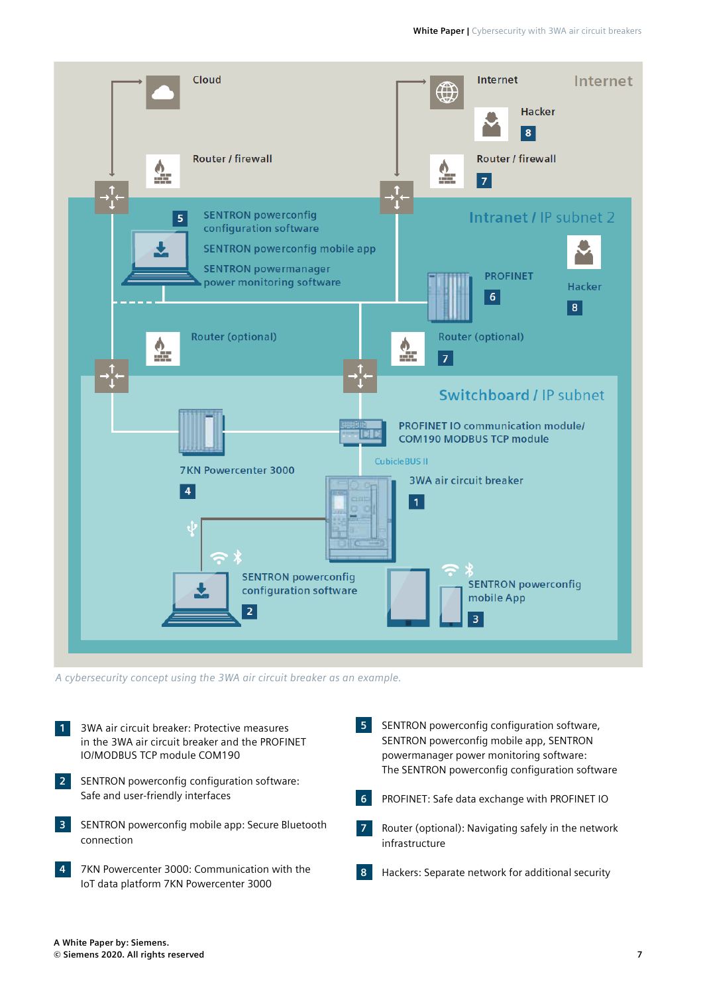

*A cybersecurity concept using the 3WA air circuit breaker as an example.*

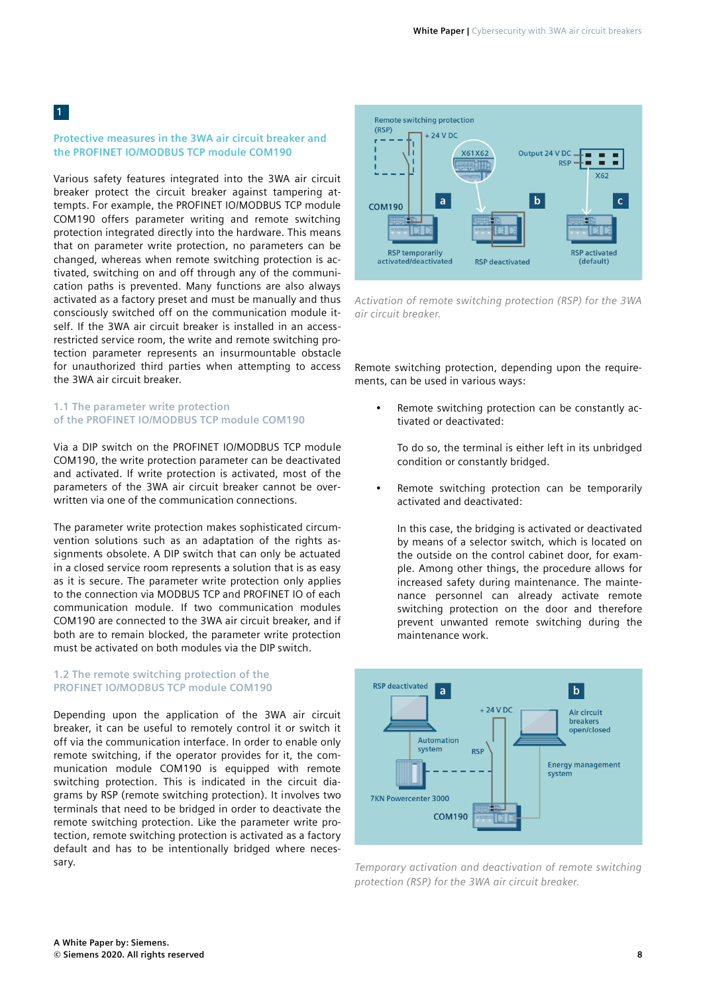#### **Protective measures in the 3WA air circuit breaker and the PROFINET IO/MODBUS TCP module COM190**

Various safety features integrated into the 3WA air circuit breaker protect the circuit breaker against tampering attempts. For example, the PROFINET IO/MODBUS TCP module COM190 offers parameter writing and remote switching protection integrated directly into the hardware. This means that on parameter write protection, no parameters can be changed, whereas when remote switching protection is activated, switching on and off through any of the communication paths is prevented. Many functions are also always activated as a factory preset and must be manually and thus consciously switched off on the communication module itself. If the 3WA air circuit breaker is installed in an accessrestricted service room, the write and remote switching protection parameter represents an insurmountable obstacle for unauthorized third parties when attempting to access the 3WA air circuit breaker.

#### **1.1 The parameter write protection of the PROFINET IO/MODBUS TCP module COM190**

Via a DIP switch on the PROFINET IO/MODBUS TCP module COM190, the write protection parameter can be deactivated and activated. If write protection is activated, most of the parameters of the 3WA air circuit breaker cannot be overwritten via one of the communication connections.

The parameter write protection makes sophisticated circumvention solutions such as an adaptation of the rights assignments obsolete. A DIP switch that can only be actuated in a closed service room represents a solution that is as easy as it is secure. The parameter write protection only applies to the connection via MODBUS TCP and PROFINET IO of each communication module. If two communication modules COM190 are connected to the 3WA air circuit breaker, and if both are to remain blocked, the parameter write protection must be activated on both modules via the DIP switch.

#### **1.2 The remote switching protection of the PROFINET IO/MODBUS TCP module COM190**

Depending upon the application of the 3WA air circuit breaker, it can be useful to remotely control it or switch it off via the communication interface. In order to enable only remote switching, if the operator provides for it, the communication module COM190 is equipped with remote switching protection. This is indicated in the circuit diagrams by RSP (remote switching protection). It involves two terminals that need to be bridged in order to deactivate the remote switching protection. Like the parameter write protection, remote switching protection is activated as a factory default and has to be intentionally bridged where necessary.



*Activation of remote switching protection (RSP) for the 3WA air circuit breaker.*

Remote switching protection, depending upon the requirements, can be used in various ways:

Remote switching protection can be constantly activated or deactivated:

To do so, the terminal is either left in its unbridged condition or constantly bridged.

Remote switching protection can be temporarily activated and deactivated:

In this case, the bridging is activated or deactivated by means of a selector switch, which is located on the outside on the control cabinet door, for example. Among other things, the procedure allows for increased safety during maintenance. The maintenance personnel can already activate remote switching protection on the door and therefore prevent unwanted remote switching during the maintenance work.



*Temporary activation and deactivation of remote switching protection (RSP) for the 3WA air circuit breaker.*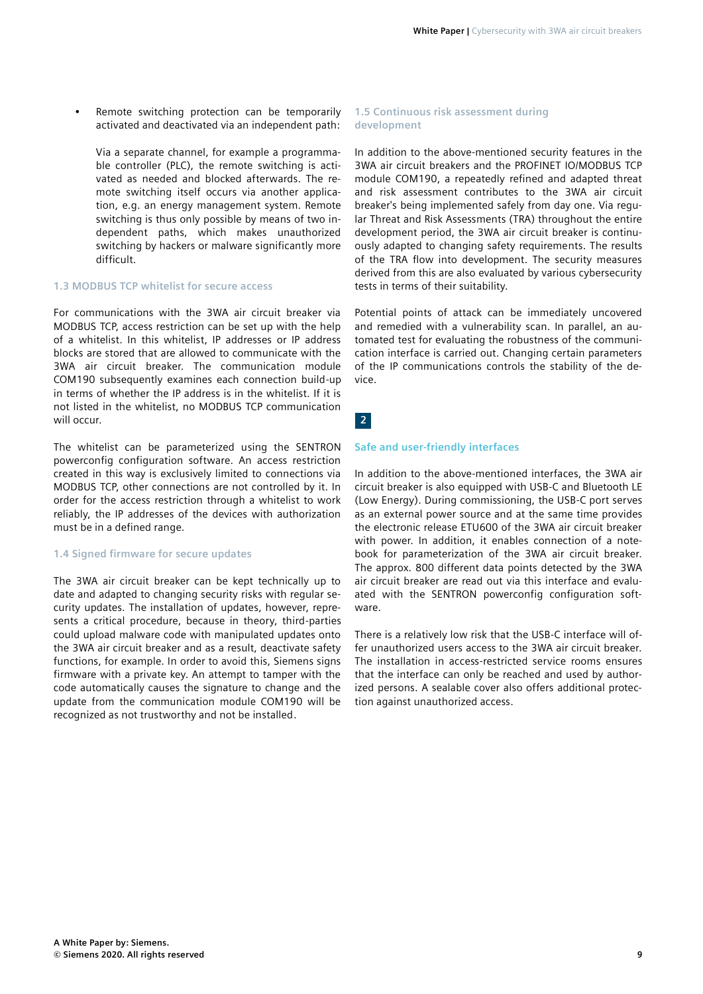Remote switching protection can be temporarily activated and deactivated via an independent path:

Via a separate channel, for example a programmable controller (PLC), the remote switching is activated as needed and blocked afterwards. The remote switching itself occurs via another application, e.g. an energy management system. Remote switching is thus only possible by means of two independent paths, which makes unauthorized switching by hackers or malware significantly more difficult.

#### **1.3 MODBUS TCP whitelist for secure access**

For communications with the 3WA air circuit breaker via MODBUS TCP, access restriction can be set up with the help of a whitelist. In this whitelist, IP addresses or IP address blocks are stored that are allowed to communicate with the 3WA air circuit breaker. The communication module COM190 subsequently examines each connection build-up in terms of whether the IP address is in the whitelist. If it is not listed in the whitelist, no MODBUS TCP communication will occur.

The whitelist can be parameterized using the SENTRON powerconfig configuration software. An access restriction created in this way is exclusively limited to connections via MODBUS TCP, other connections are not controlled by it. In order for the access restriction through a whitelist to work reliably, the IP addresses of the devices with authorization must be in a defined range.

#### **1.4 Signed firmware for secure updates**

The 3WA air circuit breaker can be kept technically up to date and adapted to changing security risks with regular security updates. The installation of updates, however, represents a critical procedure, because in theory, third-parties could upload malware code with manipulated updates onto the 3WA air circuit breaker and as a result, deactivate safety functions, for example. In order to avoid this, Siemens signs firmware with a private key. An attempt to tamper with the code automatically causes the signature to change and the update from the communication module COM190 will be recognized as not trustworthy and not be installed.

#### **1.5 Continuous risk assessment during development**

In addition to the above-mentioned security features in the 3WA air circuit breakers and the PROFINET IO/MODBUS TCP module COM190, a repeatedly refined and adapted threat and risk assessment contributes to the 3WA air circuit breaker's being implemented safely from day one. Via regular Threat and Risk Assessments (TRA) throughout the entire development period, the 3WA air circuit breaker is continuously adapted to changing safety requirements. The results of the TRA flow into development. The security measures derived from this are also evaluated by various cybersecurity tests in terms of their suitability.

Potential points of attack can be immediately uncovered and remedied with a vulnerability scan. In parallel, an automated test for evaluating the robustness of the communication interface is carried out. Changing certain parameters of the IP communications controls the stability of the device.

#### **2**

#### **Safe and user-friendly interfaces**

In addition to the above-mentioned interfaces, the 3WA air circuit breaker is also equipped with USB-C and Bluetooth LE (Low Energy). During commissioning, the USB-C port serves as an external power source and at the same time provides the electronic release ETU600 of the 3WA air circuit breaker with power. In addition, it enables connection of a notebook for parameterization of the 3WA air circuit breaker. The approx. 800 different data points detected by the 3WA air circuit breaker are read out via this interface and evaluated with the SENTRON powerconfig configuration software.

There is a relatively low risk that the USB-C interface will offer unauthorized users access to the 3WA air circuit breaker. The installation in access-restricted service rooms ensures that the interface can only be reached and used by authorized persons. A sealable cover also offers additional protection against unauthorized access.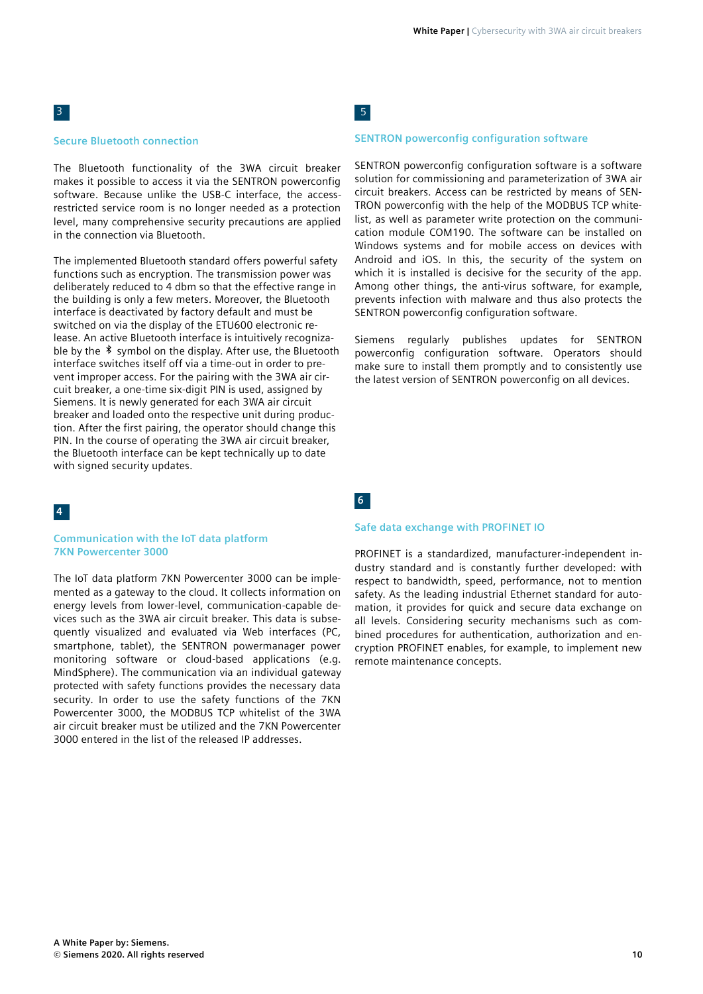#### **Secure Bluetooth connection**

The Bluetooth functionality of the 3WA circuit breaker makes it possible to access it via the SENTRON powerconfig software. Because unlike the USB-C interface, the accessrestricted service room is no longer needed as a protection level, many comprehensive security precautions are applied in the connection via Bluetooth.

The implemented Bluetooth standard offers powerful safety functions such as encryption. The transmission power was deliberately reduced to 4 dbm so that the effective range in the building is only a few meters. Moreover, the Bluetooth interface is deactivated by factory default and must be switched on via the display of the ETU600 electronic release. An active Bluetooth interface is intuitively recognizable by the  $\sqrt[3]{ }$  symbol on the display. After use, the Bluetooth interface switches itself off via a time-out in order to prevent improper access. For the pairing with the 3WA air circuit breaker, a one-time six-digit PIN is used, assigned by Siemens. It is newly generated for each 3WA air circuit breaker and loaded onto the respective unit during production. After the first pairing, the operator should change this PIN. In the course of operating the 3WA air circuit breaker, the Bluetooth interface can be kept technically up to date with signed security updates.

#### **4**

#### **Communication with the IoT data platform 7KN Powercenter 3000**

The IoT data platform 7KN Powercenter 3000 can be implemented as a gateway to the cloud. It collects information on energy levels from lower-level, communication-capable devices such as the 3WA air circuit breaker. This data is subsequently visualized and evaluated via Web interfaces (PC, smartphone, tablet), the SENTRON powermanager power monitoring software or cloud-based applications (e.g. MindSphere). The communication via an individual gateway protected with safety functions provides the necessary data security. In order to use the safety functions of the 7KN Powercenter 3000, the MODBUS TCP whitelist of the 3WA air circuit breaker must be utilized and the 7KN Powercenter 3000 entered in the list of the released IP addresses.

5

#### **SENTRON powerconfig configuration software**

SENTRON powerconfig configuration software is a software solution for commissioning and parameterization of 3WA air circuit breakers. Access can be restricted by means of SEN-TRON powerconfig with the help of the MODBUS TCP whitelist, as well as parameter write protection on the communication module COM190. The software can be installed on Windows systems and for mobile access on devices with Android and iOS. In this, the security of the system on which it is installed is decisive for the security of the app. Among other things, the anti-virus software, for example, prevents infection with malware and thus also protects the SENTRON powerconfig configuration software.

Siemens regularly publishes updates for SENTRON powerconfig configuration software. Operators should make sure to install them promptly and to consistently use the latest version of SENTRON powerconfig on all devices.

**6**

#### **Safe data exchange with PROFINET IO**

PROFINET is a standardized, manufacturer-independent industry standard and is constantly further developed: with respect to bandwidth, speed, performance, not to mention safety. As the leading industrial Ethernet standard for automation, it provides for quick and secure data exchange on all levels. Considering security mechanisms such as combined procedures for authentication, authorization and encryption PROFINET enables, for example, to implement new remote maintenance concepts.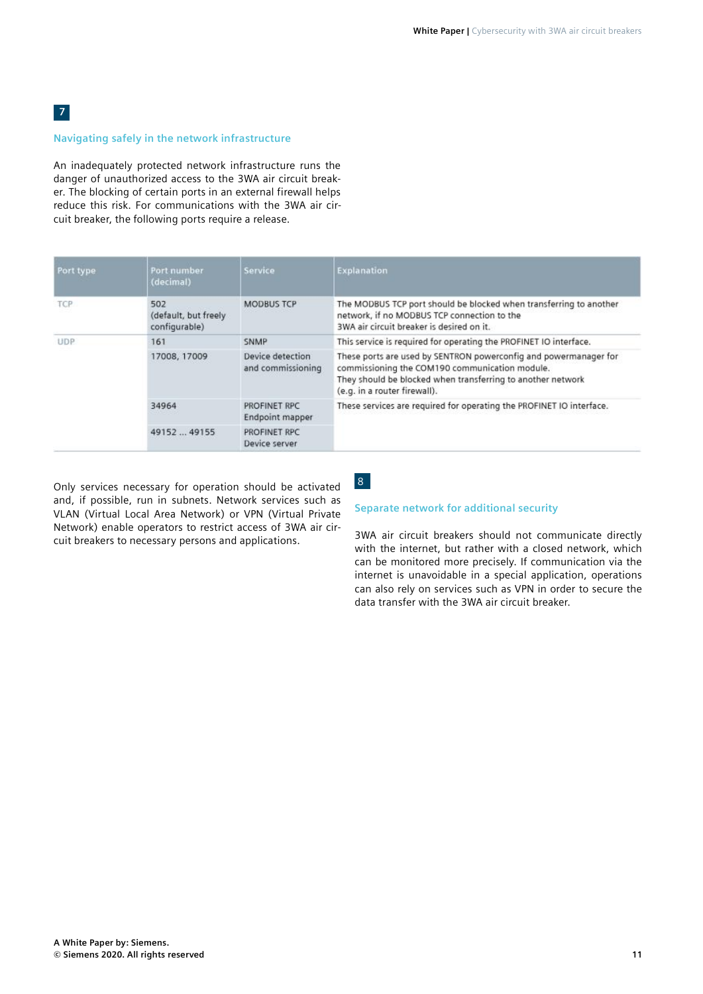#### **Navigating safely in the network infrastructure**

An inadequately protected network infrastructure runs the danger of unauthorized access to the 3WA air circuit breaker. The blocking of certain ports in an external firewall helps reduce this risk. For communications with the 3WA air circuit breaker, the following ports require a release.

| Port type  | Port number<br>(decimal)                     | Service                               | Explanation                                                                                                                                                                                                       |
|------------|----------------------------------------------|---------------------------------------|-------------------------------------------------------------------------------------------------------------------------------------------------------------------------------------------------------------------|
| <b>TCP</b> | 502<br>(default, but freely<br>configurable) | <b>MODBUS TCP</b>                     | The MODBUS TCP port should be blocked when transferring to another<br>network, if no MODBUS TCP connection to the<br>3WA air circuit breaker is desired on it.                                                    |
| UDP.       | 161                                          | <b>SNMP</b>                           | This service is required for operating the PROFINET IO interface.                                                                                                                                                 |
|            | 17008, 17009                                 | Device detection<br>and commissioning | These ports are used by SENTRON powerconfig and powermanager for<br>commissioning the COM190 communication module.<br>They should be blocked when transferring to another network<br>(e.g. in a router firewall). |
|            | 34964                                        | PROFINET RPC<br>Endpoint mapper       | These services are required for operating the PROFINET IO interface.                                                                                                                                              |
|            | 49152  49155                                 | PROFINET RPC<br>Device server         |                                                                                                                                                                                                                   |

Only services necessary for operation should be activated and, if possible, run in subnets. Network services such as VLAN (Virtual Local Area Network) or VPN (Virtual Private Network) enable operators to restrict access of 3WA air circuit breakers to necessary persons and applications.

### 8

#### **Separate network for additional security**

3WA air circuit breakers should not communicate directly with the internet, but rather with a closed network, which can be monitored more precisely. If communication via the internet is unavoidable in a special application, operations can also rely on services such as VPN in order to secure the data transfer with the 3WA air circuit breaker.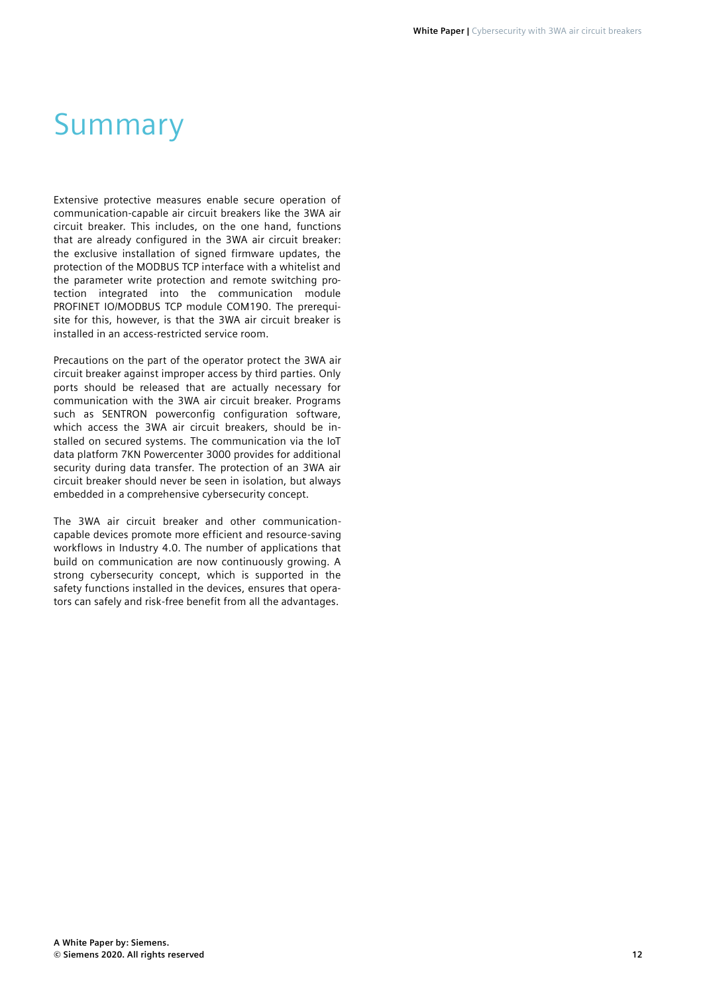## Summary

Extensive protective measures enable secure operation of communication-capable air circuit breakers like the 3WA air circuit breaker. This includes, on the one hand, functions that are already configured in the 3WA air circuit breaker: the exclusive installation of signed firmware updates, the protection of the MODBUS TCP interface with a whitelist and the parameter write protection and remote switching protection integrated into the communication module PROFINET IO/MODBUS TCP module COM190. The prerequisite for this, however, is that the 3WA air circuit breaker is installed in an access-restricted service room.

Precautions on the part of the operator protect the 3WA air circuit breaker against improper access by third parties. Only ports should be released that are actually necessary for communication with the 3WA air circuit breaker. Programs such as SENTRON powerconfig configuration software, which access the 3WA air circuit breakers, should be installed on secured systems. The communication via the IoT data platform 7KN Powercenter 3000 provides for additional security during data transfer. The protection of an 3WA air circuit breaker should never be seen in isolation, but always embedded in a comprehensive cybersecurity concept.

The 3WA air circuit breaker and other communicationcapable devices promote more efficient and resource-saving workflows in Industry 4.0. The number of applications that build on communication are now continuously growing. A strong cybersecurity concept, which is supported in the safety functions installed in the devices, ensures that operators can safely and risk-free benefit from all the advantages.